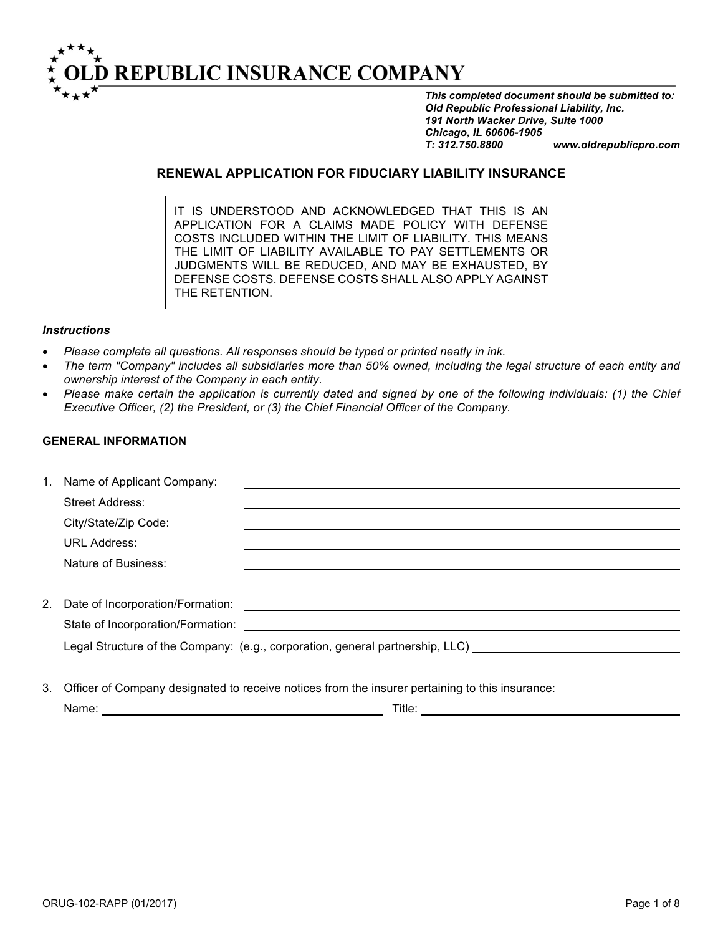

*This completed document should be submitted to: Old Republic Professional Liability, Inc. 191 North Wacker Drive, Suite 1000 Chicago, IL 60606-1905 T: 312.750.8800 www.oldrepublicpro.com*

## **RENEWAL APPLICATION FOR FIDUCIARY LIABILITY INSURANCE**

IT IS UNDERSTOOD AND ACKNOWLEDGED THAT THIS IS AN APPLICATION FOR A CLAIMS MADE POLICY WITH DEFENSE COSTS INCLUDED WITHIN THE LIMIT OF LIABILITY. THIS MEANS THE LIMIT OF LIABILITY AVAILABLE TO PAY SETTLEMENTS OR JUDGMENTS WILL BE REDUCED, AND MAY BE EXHAUSTED, BY DEFENSE COSTS. DEFENSE COSTS SHALL ALSO APPLY AGAINST THE RETENTION.

#### *Instructions*

- *Please complete all questions. All responses should be typed or printed neatly in ink.*
- *The term "Company" includes all subsidiaries more than 50% owned, including the legal structure of each entity and ownership interest of the Company in each entity.*
- *Please make certain the application is currently dated and signed by one of the following individuals: (1) the Chief Executive Officer, (2) the President, or (3) the Chief Financial Officer of the Company.*

## **GENERAL INFORMATION**

| 1. | Name of Applicant Company:          |                                                                               |
|----|-------------------------------------|-------------------------------------------------------------------------------|
|    | <b>Street Address:</b>              |                                                                               |
|    | City/State/Zip Code:                |                                                                               |
|    | <b>URL Address:</b>                 |                                                                               |
|    | Nature of Business:                 |                                                                               |
|    |                                     |                                                                               |
|    | 2. Date of Incorporation/Formation: |                                                                               |
|    | State of Incorporation/Formation:   |                                                                               |
|    |                                     | Legal Structure of the Company: (e.g., corporation, general partnership, LLC) |
|    |                                     |                                                                               |

3. Officer of Company designated to receive notices from the insurer pertaining to this insurance:

| Name: | $-1.1$ | itle |
|-------|--------|------|
|       |        |      |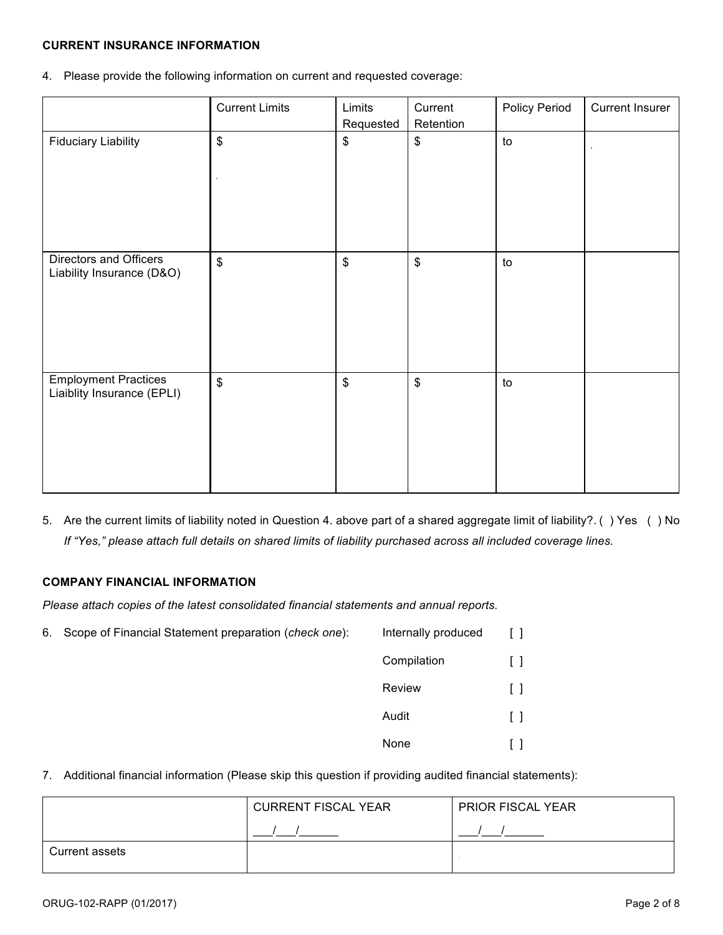## **CURRENT INSURANCE INFORMATION**

4. Please provide the following information on current and requested coverage:

|                                                           | <b>Current Limits</b>      | Limits<br>Requested        | Current<br>Retention      | <b>Policy Period</b> | <b>Current Insurer</b> |
|-----------------------------------------------------------|----------------------------|----------------------------|---------------------------|----------------------|------------------------|
| <b>Fiduciary Liability</b>                                | $\boldsymbol{\mathsf{\$}}$ | \$                         | \$                        | to                   |                        |
| Directors and Officers<br>Liability Insurance (D&O)       | $\boldsymbol{\mathsf{S}}$  | $\boldsymbol{\mathsf{\$}}$ | $\boldsymbol{\mathsf{S}}$ | to                   |                        |
| <b>Employment Practices</b><br>Liaiblity Insurance (EPLI) | $$\mathbb{S}$$             | $\boldsymbol{\mathsf{\$}}$ | $\boldsymbol{\$}$         | to                   |                        |

5. Are the current limits of liability noted in Question 4. above part of a shared aggregate limit of liability?. ( ) Yes ( ) No *If "Yes," please attach full details on shared limits of liability purchased across all included coverage lines.*

### **COMPANY FINANCIAL INFORMATION**

*Please attach copies of the latest consolidated financial statements and annual reports.*

6. Scope of Financial Statement preparation (*check one*): Internally produced [ ] Compilation [ ]

| Compilation | ΙI           |
|-------------|--------------|
| Review      | $\Box$       |
| Audit       | ΙI           |
| None        | $\mathsf{L}$ |

7. Additional financial information (Please skip this question if providing audited financial statements):

|                | <b>CURRENT FISCAL YEAR</b> | <b>PRIOR FISCAL YEAR</b> |
|----------------|----------------------------|--------------------------|
|                |                            |                          |
| Current assets |                            |                          |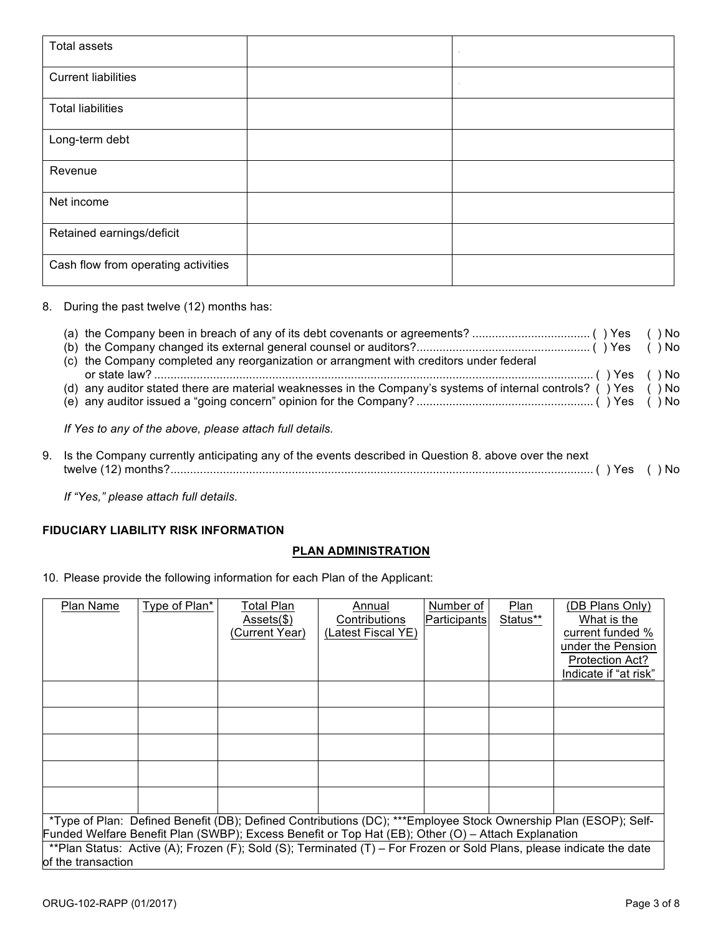| Total assets                        | $\sim$ |
|-------------------------------------|--------|
| <b>Current liabilities</b>          | $\sim$ |
| <b>Total liabilities</b>            |        |
| Long-term debt                      |        |
| Revenue                             |        |
| Net income                          |        |
| Retained earnings/deficit           |        |
| Cash flow from operating activities |        |

8. During the past twelve (12) months has:

| (c) the Company completed any reorganization or arrangment with creditors under federal                          |  |
|------------------------------------------------------------------------------------------------------------------|--|
|                                                                                                                  |  |
| (d) any auditor stated there are material weaknesses in the Company's systems of internal controls? () Yes () No |  |
|                                                                                                                  |  |
| If Yes to any of the above, please attach full details.                                                          |  |

| 9. Is the Company currently anticipating any of the events described in Question 8. above over the next |  |
|---------------------------------------------------------------------------------------------------------|--|
|                                                                                                         |  |

*If "Yes," please attach full details*.

## **FIDUCIARY LIABILITY RISK INFORMATION**

# **PLAN ADMINISTRATION**

10. Please provide the following information for each Plan of the Applicant:

| Plan Name          | Type of Plan* | Total Plan<br>$Assets(\text{\$})$<br>(Current Year) | Annual<br>Contributions<br>(Latest Fiscal YE)                                                                                                                                                                                                                                                                                                 | Number of<br><b>Participants</b> | Plan<br>Status** | (DB Plans Only)<br>What is the<br>current funded %<br>under the Pension<br>Protection Act?<br>Indicate if "at risk" |
|--------------------|---------------|-----------------------------------------------------|-----------------------------------------------------------------------------------------------------------------------------------------------------------------------------------------------------------------------------------------------------------------------------------------------------------------------------------------------|----------------------------------|------------------|---------------------------------------------------------------------------------------------------------------------|
|                    |               |                                                     |                                                                                                                                                                                                                                                                                                                                               |                                  |                  |                                                                                                                     |
|                    |               |                                                     |                                                                                                                                                                                                                                                                                                                                               |                                  |                  |                                                                                                                     |
| of the transaction |               |                                                     | *Type of Plan: Defined Benefit (DB); Defined Contributions (DC); ***Employee Stock Ownership Plan (ESOP); Self-<br>Funded Welfare Benefit Plan (SWBP); Excess Benefit or Top Hat (EB); Other (O) - Attach Explanation<br>**Plan Status: Active (A); Frozen (F); Sold (S); Terminated (T) – For Frozen or Sold Plans, please indicate the date |                                  |                  |                                                                                                                     |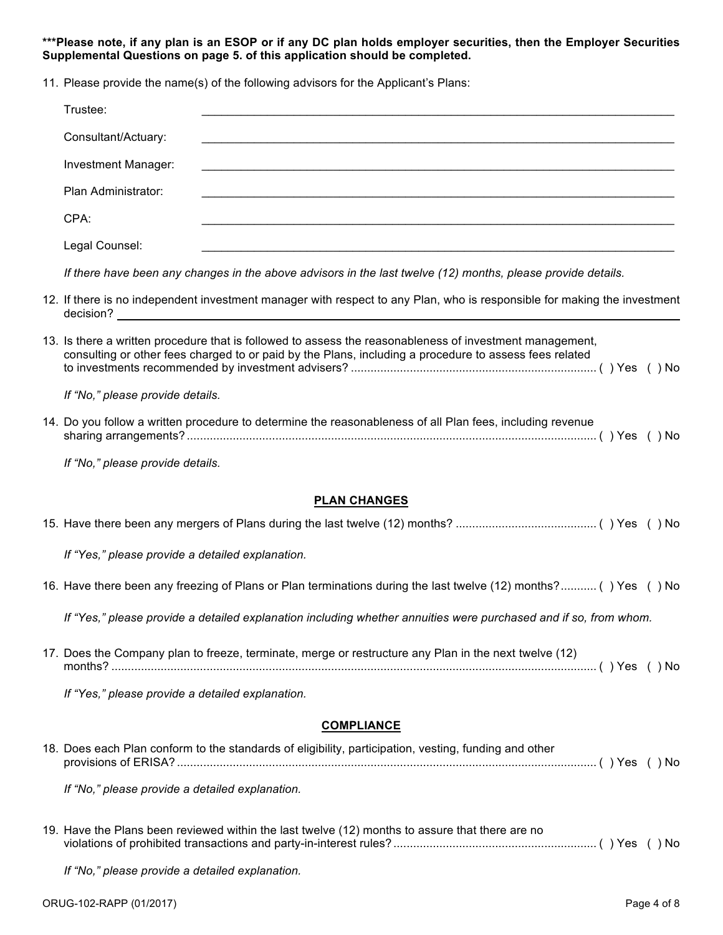**\*\*\*Please note, if any plan is an ESOP or if any DC plan holds employer securities, then the Employer Securities Supplemental Questions on page 5. of this application should be completed.** 

| 11. Please provide the name(s) of the following advisors for the Applicant's Plans:                                                                                                                                                                            |
|----------------------------------------------------------------------------------------------------------------------------------------------------------------------------------------------------------------------------------------------------------------|
| Trustee:                                                                                                                                                                                                                                                       |
| Consultant/Actuary:                                                                                                                                                                                                                                            |
| Investment Manager:<br>,我们也不能在这里的时候,我们也不能在这里的时候,我们也不能在这里的时候,我们也不能会在这里的时候,我们也不能会在这里的时候,我们也不能会在这里的时候,我们也不                                                                                                                                                        |
| Plan Administrator:                                                                                                                                                                                                                                            |
| CPA:                                                                                                                                                                                                                                                           |
| Legal Counsel:                                                                                                                                                                                                                                                 |
| If there have been any changes in the above advisors in the last twelve (12) months, please provide details.                                                                                                                                                   |
| 12. If there is no independent investment manager with respect to any Plan, who is responsible for making the investment<br>decision?<br><u> 1989 - Johann Harry Barn, mars and de Branch and de Branch and de Branch and de Branch and de Branch and de B</u> |
| 13. Is there a written procedure that is followed to assess the reasonableness of investment management,<br>consulting or other fees charged to or paid by the Plans, including a procedure to assess fees related                                             |
| If "No," please provide details.                                                                                                                                                                                                                               |
| 14. Do you follow a written procedure to determine the reasonableness of all Plan fees, including revenue                                                                                                                                                      |
| If "No," please provide details.                                                                                                                                                                                                                               |
| <b>PLAN CHANGES</b>                                                                                                                                                                                                                                            |
|                                                                                                                                                                                                                                                                |
| If "Yes," please provide a detailed explanation.                                                                                                                                                                                                               |
| 16. Have there been any freezing of Plans or Plan terminations during the last twelve (12) months? () Yes () No                                                                                                                                                |
| If "Yes," please provide a detailed explanation including whether annuities were purchased and if so, from whom.                                                                                                                                               |
| 17. Does the Company plan to freeze, terminate, merge or restructure any Plan in the next twelve (12)                                                                                                                                                          |
| If "Yes," please provide a detailed explanation.                                                                                                                                                                                                               |

### **COMPLIANCE**

| 18. Does each Plan conform to the standards of eligibility, participation, vesting, funding and other |  |
|-------------------------------------------------------------------------------------------------------|--|
|                                                                                                       |  |

*If "No," please provide a detailed explanation.*

19. Have the Plans been reviewed within the last twelve (12) months to assure that there are no violations of prohibited transactions and party-in-interest rules? .............................................................. ( ) Yes ( ) No

*If "No," please provide a detailed explanation.*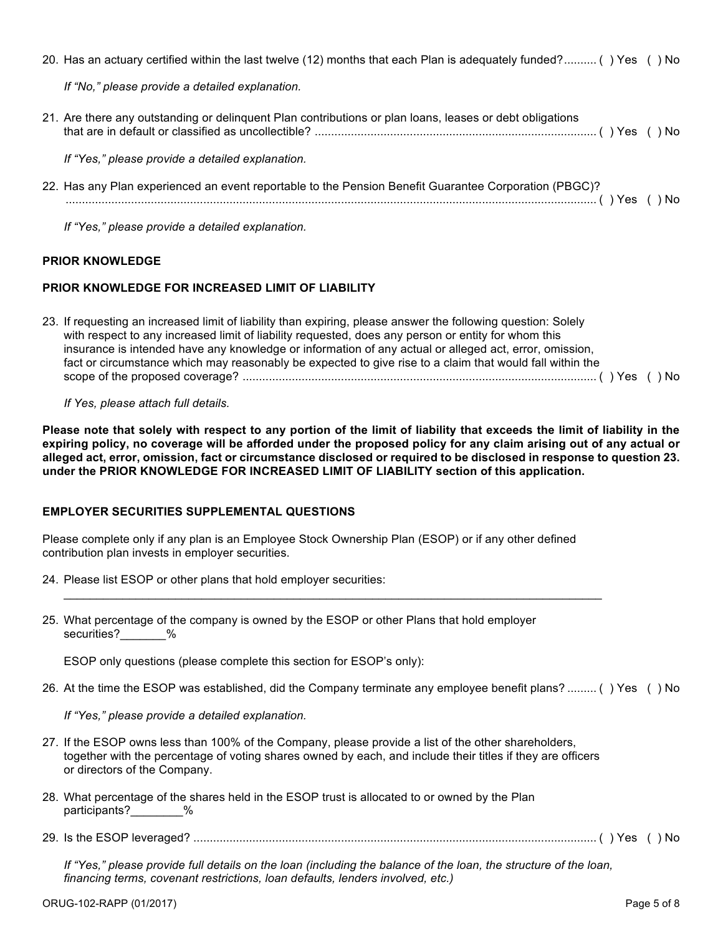| <b>PRIOR KNOWLEDGE</b> |                                                                                                                   |  |  |
|------------------------|-------------------------------------------------------------------------------------------------------------------|--|--|
|                        | If "Yes," please provide a detailed explanation.                                                                  |  |  |
|                        | 22. Has any Plan experienced an event reportable to the Pension Benefit Guarantee Corporation (PBGC)?             |  |  |
|                        | If "Yes," please provide a detailed explanation.                                                                  |  |  |
|                        | 21. Are there any outstanding or delinguent Plan contributions or plan loans, leases or debt obligations          |  |  |
|                        | If "No," please provide a detailed explanation.                                                                   |  |  |
|                        | 20. Has an actuary certified within the last twelve (12) months that each Plan is adequately funded? () Yes () No |  |  |

# **PRIOR KNOWLEDGE FOR INCREASED LIMIT OF LIABILITY**

| 23. If requesting an increased limit of liability than expiring, please answer the following question: Solely |  |
|---------------------------------------------------------------------------------------------------------------|--|
| with respect to any increased limit of liability requested, does any person or entity for whom this           |  |
| insurance is intended have any knowledge or information of any actual or alleged act, error, omission,        |  |
| fact or circumstance which may reasonably be expected to give rise to a claim that would fall within the      |  |
|                                                                                                               |  |

### *If Yes, please attach full details.*

**Please note that solely with respect to any portion of the limit of liability that exceeds the limit of liability in the expiring policy, no coverage will be afforded under the proposed policy for any claim arising out of any actual or alleged act, error, omission, fact or circumstance disclosed or required to be disclosed in response to question 23. under the PRIOR KNOWLEDGE FOR INCREASED LIMIT OF LIABILITY section of this application.**

# **EMPLOYER SECURITIES SUPPLEMENTAL QUESTIONS**

Please complete only if any plan is an Employee Stock Ownership Plan (ESOP) or if any other defined contribution plan invests in employer securities.

 $\mathcal{L}_\mathcal{L} = \{ \mathcal{L}_\mathcal{L} = \{ \mathcal{L}_\mathcal{L} = \{ \mathcal{L}_\mathcal{L} = \{ \mathcal{L}_\mathcal{L} = \{ \mathcal{L}_\mathcal{L} = \{ \mathcal{L}_\mathcal{L} = \{ \mathcal{L}_\mathcal{L} = \{ \mathcal{L}_\mathcal{L} = \{ \mathcal{L}_\mathcal{L} = \{ \mathcal{L}_\mathcal{L} = \{ \mathcal{L}_\mathcal{L} = \{ \mathcal{L}_\mathcal{L} = \{ \mathcal{L}_\mathcal{L} = \{ \mathcal{L}_\mathcal{$ 

- 24. Please list ESOP or other plans that hold employer securities:
- 25. What percentage of the company is owned by the ESOP or other Plans that hold employer securities? %

ESOP only questions (please complete this section for ESOP's only):

26. At the time the ESOP was established, did the Company terminate any employee benefit plans? ......... ( ) Yes ( ) No

*If "Yes," please provide a detailed explanation.*

- 27. If the ESOP owns less than 100% of the Company, please provide a list of the other shareholders, together with the percentage of voting shares owned by each, and include their titles if they are officers or directors of the Company.
- 28. What percentage of the shares held in the ESOP trust is allocated to or owned by the Plan participants?\_\_\_\_\_\_\_\_%
- 29. Is the ESOP leveraged? ........................................................................................................................... ( ) Yes ( ) No

*If "Yes," please provide full details on the loan (including the balance of the loan, the structure of the loan, financing terms, covenant restrictions, loan defaults, lenders involved, etc.)*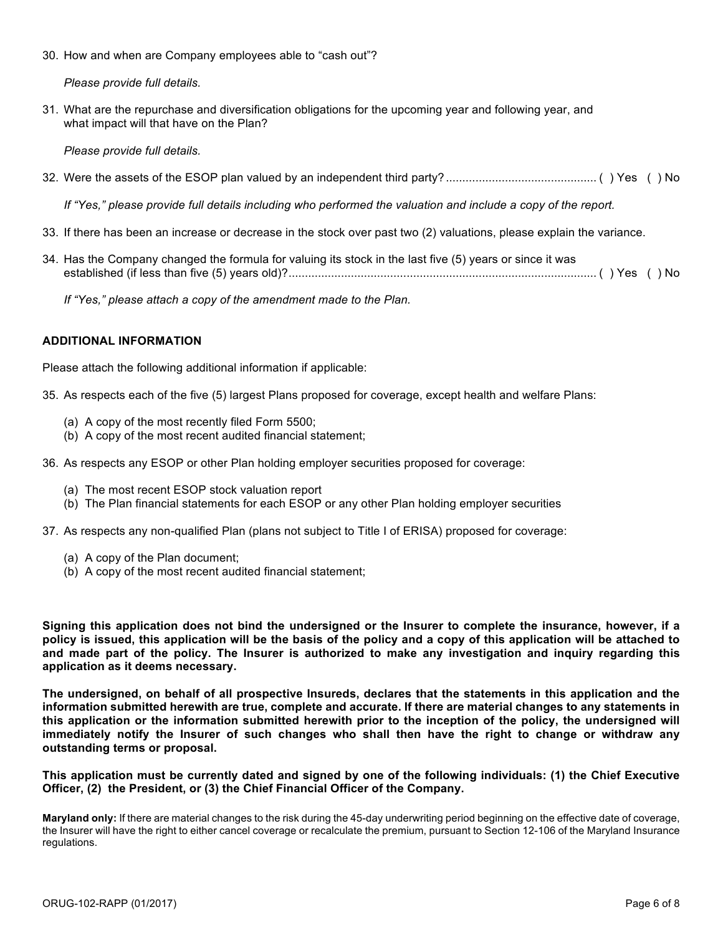30. How and when are Company employees able to "cash out"?

*Please provide full details.*

31. What are the repurchase and diversification obligations for the upcoming year and following year, and what impact will that have on the Plan?

*Please provide full details.*

32. Were the assets of the ESOP plan valued by an independent third party? .............................................. ( ) Yes ( ) No

*If "Yes," please provide full details including who performed the valuation and include a copy of the report.*

- 33. If there has been an increase or decrease in the stock over past two (2) valuations, please explain the variance.
- 34. Has the Company changed the formula for valuing its stock in the last five (5) years or since it was established (if less than five (5) years old)?.............................................................................................. ( ) Yes ( ) No

*If "Yes," please attach a copy of the amendment made to the Plan.*

#### **ADDITIONAL INFORMATION**

Please attach the following additional information if applicable:

35. As respects each of the five (5) largest Plans proposed for coverage, except health and welfare Plans:

- (a) A copy of the most recently filed Form 5500;
- (b) A copy of the most recent audited financial statement;

36. As respects any ESOP or other Plan holding employer securities proposed for coverage:

- (a) The most recent ESOP stock valuation report
- (b) The Plan financial statements for each ESOP or any other Plan holding employer securities

37. As respects any non-qualified Plan (plans not subject to Title I of ERISA) proposed for coverage:

- (a) A copy of the Plan document;
- (b) A copy of the most recent audited financial statement;

**Signing this application does not bind the undersigned or the Insurer to complete the insurance, however, if a policy is issued, this application will be the basis of the policy and a copy of this application will be attached to and made part of the policy. The Insurer is authorized to make any investigation and inquiry regarding this application as it deems necessary.**

**The undersigned, on behalf of all prospective Insureds, declares that the statements in this application and the information submitted herewith are true, complete and accurate. If there are material changes to any statements in this application or the information submitted herewith prior to the inception of the policy, the undersigned will immediately notify the Insurer of such changes who shall then have the right to change or withdraw any outstanding terms or proposal.**

**This application must be currently dated and signed by one of the following individuals: (1) the Chief Executive Officer, (2) the President, or (3) the Chief Financial Officer of the Company.**

**Maryland only:** If there are material changes to the risk during the 45-day underwriting period beginning on the effective date of coverage, the Insurer will have the right to either cancel coverage or recalculate the premium, pursuant to Section 12-106 of the Maryland Insurance regulations.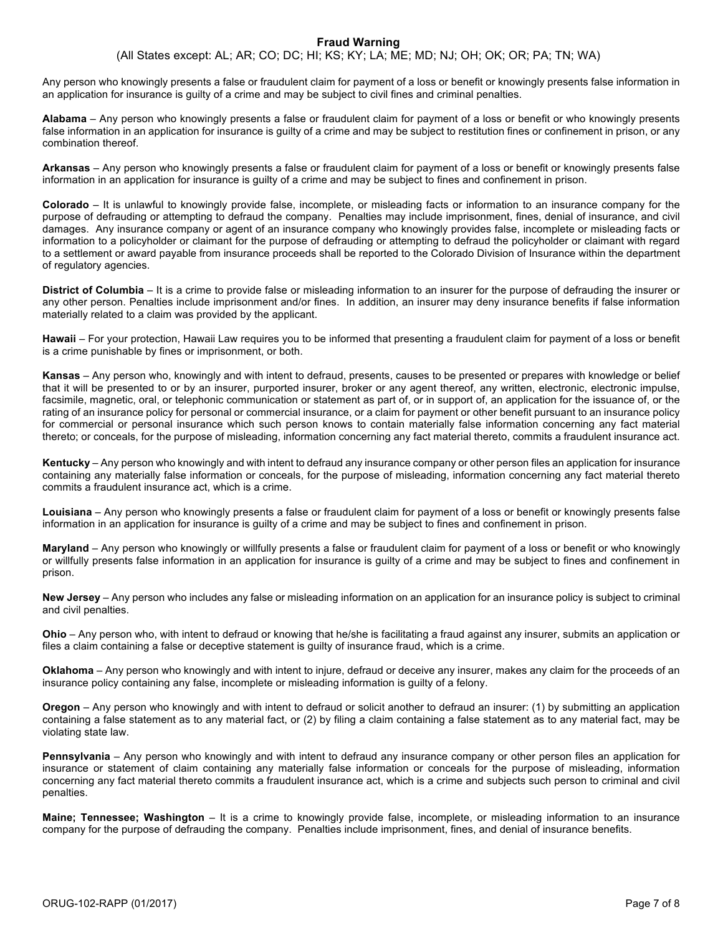#### **Fraud Warning**

(All States except: AL; AR; CO; DC; HI; KS; KY; LA; ME; MD; NJ; OH; OK; OR; PA; TN; WA)

Any person who knowingly presents a false or fraudulent claim for payment of a loss or benefit or knowingly presents false information in an application for insurance is guilty of a crime and may be subject to civil fines and criminal penalties.

**Alabama** – Any person who knowingly presents a false or fraudulent claim for payment of a loss or benefit or who knowingly presents false information in an application for insurance is guilty of a crime and may be subject to restitution fines or confinement in prison, or any combination thereof.

**Arkansas** – Any person who knowingly presents a false or fraudulent claim for payment of a loss or benefit or knowingly presents false information in an application for insurance is guilty of a crime and may be subject to fines and confinement in prison.

**Colorado** – It is unlawful to knowingly provide false, incomplete, or misleading facts or information to an insurance company for the purpose of defrauding or attempting to defraud the company. Penalties may include imprisonment, fines, denial of insurance, and civil damages. Any insurance company or agent of an insurance company who knowingly provides false, incomplete or misleading facts or information to a policyholder or claimant for the purpose of defrauding or attempting to defraud the policyholder or claimant with regard to a settlement or award payable from insurance proceeds shall be reported to the Colorado Division of Insurance within the department of regulatory agencies.

**District of Columbia** – It is a crime to provide false or misleading information to an insurer for the purpose of defrauding the insurer or any other person. Penalties include imprisonment and/or fines. In addition, an insurer may deny insurance benefits if false information materially related to a claim was provided by the applicant.

**Hawaii** – For your protection, Hawaii Law requires you to be informed that presenting a fraudulent claim for payment of a loss or benefit is a crime punishable by fines or imprisonment, or both.

**Kansas** – Any person who, knowingly and with intent to defraud, presents, causes to be presented or prepares with knowledge or belief that it will be presented to or by an insurer, purported insurer, broker or any agent thereof, any written, electronic, electronic impulse, facsimile, magnetic, oral, or telephonic communication or statement as part of, or in support of, an application for the issuance of, or the rating of an insurance policy for personal or commercial insurance, or a claim for payment or other benefit pursuant to an insurance policy for commercial or personal insurance which such person knows to contain materially false information concerning any fact material thereto; or conceals, for the purpose of misleading, information concerning any fact material thereto, commits a fraudulent insurance act.

**Kentucky** – Any person who knowingly and with intent to defraud any insurance company or other person files an application for insurance containing any materially false information or conceals, for the purpose of misleading, information concerning any fact material thereto commits a fraudulent insurance act, which is a crime.

**Louisiana** – Any person who knowingly presents a false or fraudulent claim for payment of a loss or benefit or knowingly presents false information in an application for insurance is guilty of a crime and may be subject to fines and confinement in prison.

**Maryland** – Any person who knowingly or willfully presents a false or fraudulent claim for payment of a loss or benefit or who knowingly or willfully presents false information in an application for insurance is guilty of a crime and may be subject to fines and confinement in prison.

**New Jersey** – Any person who includes any false or misleading information on an application for an insurance policy is subject to criminal and civil penalties.

**Ohio** – Any person who, with intent to defraud or knowing that he/she is facilitating a fraud against any insurer, submits an application or files a claim containing a false or deceptive statement is guilty of insurance fraud, which is a crime.

**Oklahoma** – Any person who knowingly and with intent to injure, defraud or deceive any insurer, makes any claim for the proceeds of an insurance policy containing any false, incomplete or misleading information is guilty of a felony.

**Oregon** – Any person who knowingly and with intent to defraud or solicit another to defraud an insurer: (1) by submitting an application containing a false statement as to any material fact, or (2) by filing a claim containing a false statement as to any material fact, may be violating state law.

**Pennsylvania** – Any person who knowingly and with intent to defraud any insurance company or other person files an application for insurance or statement of claim containing any materially false information or conceals for the purpose of misleading, information concerning any fact material thereto commits a fraudulent insurance act, which is a crime and subjects such person to criminal and civil penalties.

**Maine; Tennessee; Washington** – It is a crime to knowingly provide false, incomplete, or misleading information to an insurance company for the purpose of defrauding the company. Penalties include imprisonment, fines, and denial of insurance benefits.